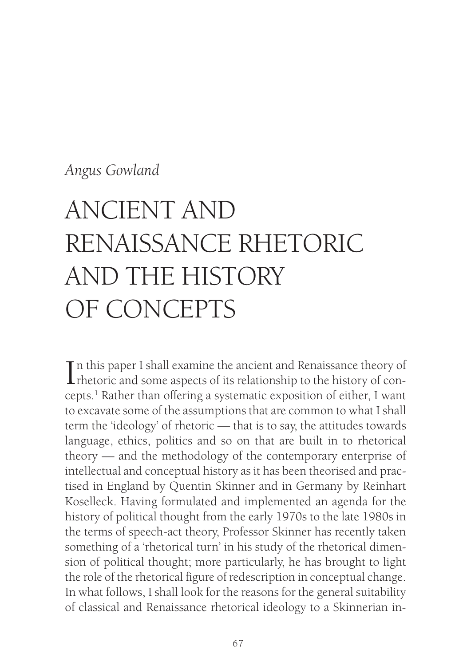### *Angus Gowland*

# ANCIENT AND RENAISSANCE RHETORIC AND THE HISTORY OF CONCEPTS

In this paper I shall examine the ancient and Renaissance theory of contractors and some aspects of its relationship to the history of contractors of the state of the state of the state of the state of the state of the sta rhetoric and some aspects of its relationship to the history of concepts.1 Rather than offering a systematic exposition of either, I want to excavate some of the assumptions that are common to what I shall term the 'ideology' of rhetoric — that is to say, the attitudes towards language, ethics, politics and so on that are built in to rhetorical theory — and the methodology of the contemporary enterprise of intellectual and conceptual history as it has been theorised and practised in England by Quentin Skinner and in Germany by Reinhart Koselleck. Having formulated and implemented an agenda for the history of political thought from the early 1970s to the late 1980s in the terms of speech-act theory, Professor Skinner has recently taken something of a 'rhetorical turn' in his study of the rhetorical dimension of political thought; more particularly, he has brought to light the role of the rhetorical figure of redescription in conceptual change. In what follows, I shall look for the reasons for the general suitability of classical and Renaissance rhetorical ideology to a Skinnerian in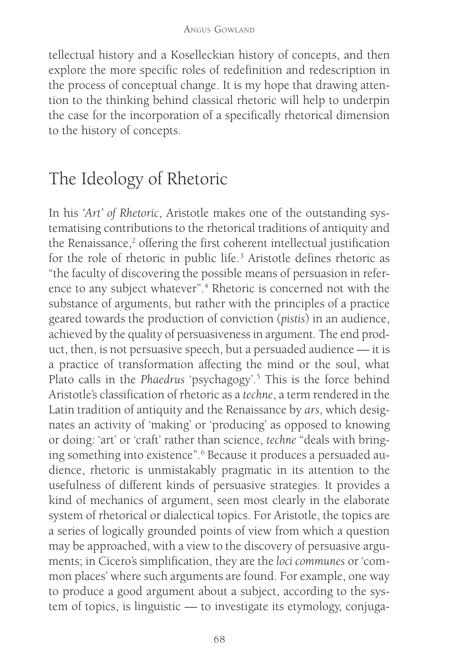tellectual history and a Koselleckian history of concepts, and then explore the more specific roles of redefinition and redescription in the process of conceptual change. It is my hope that drawing attention to the thinking behind classical rhetoric will help to underpin the case for the incorporation of a specifically rhetorical dimension to the history of concepts.

## The Ideology of Rhetoric

In his *'Art' of Rhetoric*, Aristotle makes one of the outstanding systematising contributions to the rhetorical traditions of antiquity and the Renaissance,<sup>2</sup> offering the first coherent intellectual justification for the role of rhetoric in public life.3 Aristotle defines rhetoric as "the faculty of discovering the possible means of persuasion in reference to any subject whatever".4 Rhetoric is concerned not with the substance of arguments, but rather with the principles of a practice geared towards the production of conviction (*pistis*) in an audience, achieved by the quality of persuasiveness in argument. The end product, then, is not persuasive speech, but a persuaded audience — it is a practice of transformation affecting the mind or the soul, what Plato calls in the *Phaedrus* 'psychagogy'.5 This is the force behind Aristotle's classification of rhetoric as a *techne*, a term rendered in the Latin tradition of antiquity and the Renaissance by *ars*, which designates an activity of 'making' or 'producing' as opposed to knowing or doing: 'art' or 'craft' rather than science, *techne* "deals with bringing something into existence".6 Because it produces a persuaded audience, rhetoric is unmistakably pragmatic in its attention to the usefulness of different kinds of persuasive strategies. It provides a kind of mechanics of argument, seen most clearly in the elaborate system of rhetorical or dialectical topics. For Aristotle, the topics are a series of logically grounded points of view from which a question may be approached, with a view to the discovery of persuasive arguments; in Cicero's simplification, they are the *loci communes* or 'common places' where such arguments are found. For example, one way to produce a good argument about a subject, according to the system of topics, is linguistic — to investigate its etymology, conjuga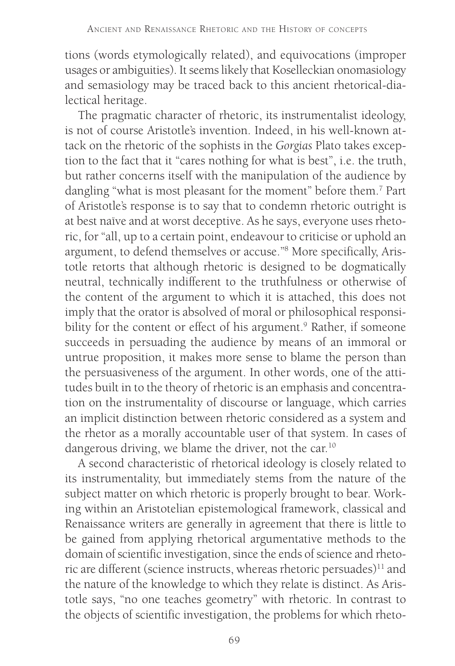tions (words etymologically related), and equivocations (improper usages or ambiguities). It seems likely that Koselleckian onomasiology and semasiology may be traced back to this ancient rhetorical-dialectical heritage.

The pragmatic character of rhetoric, its instrumentalist ideology, is not of course Aristotle's invention. Indeed, in his well-known attack on the rhetoric of the sophists in the *Gorgias* Plato takes exception to the fact that it "cares nothing for what is best", i.e. the truth, but rather concerns itself with the manipulation of the audience by dangling "what is most pleasant for the moment" before them.<sup>7</sup> Part of Aristotle's response is to say that to condemn rhetoric outright is at best naïve and at worst deceptive. As he says, everyone uses rhetoric, for "all, up to a certain point, endeavour to criticise or uphold an argument, to defend themselves or accuse."8 More specifically, Aristotle retorts that although rhetoric is designed to be dogmatically neutral, technically indifferent to the truthfulness or otherwise of the content of the argument to which it is attached, this does not imply that the orator is absolved of moral or philosophical responsibility for the content or effect of his argument.<sup>9</sup> Rather, if someone succeeds in persuading the audience by means of an immoral or untrue proposition, it makes more sense to blame the person than the persuasiveness of the argument. In other words, one of the attitudes built in to the theory of rhetoric is an emphasis and concentration on the instrumentality of discourse or language, which carries an implicit distinction between rhetoric considered as a system and the rhetor as a morally accountable user of that system. In cases of dangerous driving, we blame the driver, not the car.<sup>10</sup>

A second characteristic of rhetorical ideology is closely related to its instrumentality, but immediately stems from the nature of the subject matter on which rhetoric is properly brought to bear. Working within an Aristotelian epistemological framework, classical and Renaissance writers are generally in agreement that there is little to be gained from applying rhetorical argumentative methods to the domain of scientific investigation, since the ends of science and rhetoric are different (science instructs, whereas rhetoric persuades)<sup>11</sup> and the nature of the knowledge to which they relate is distinct. As Aristotle says, "no one teaches geometry" with rhetoric. In contrast to the objects of scientific investigation, the problems for which rheto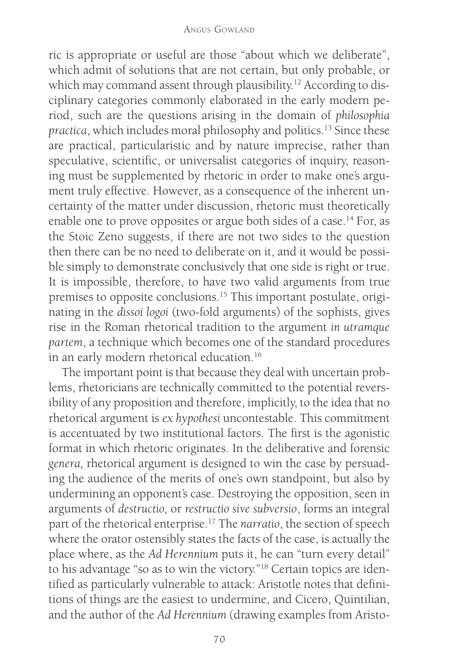ric is appropriate or useful are those "about which we deliberate", which admit of solutions that are not certain, but only probable, or which may command assent through plausibility.<sup>12</sup> According to disciplinary categories commonly elaborated in the early modern period, such are the questions arising in the domain of *philosophia practica*, which includes moral philosophy and politics.<sup>13</sup> Since these are practical, particularistic and by nature imprecise, rather than speculative, scientific, or universalist categories of inquiry, reasoning must be supplemented by rhetoric in order to make one's argument truly effective. However, as a consequence of the inherent uncertainty of the matter under discussion, rhetoric must theoretically enable one to prove opposites or argue both sides of a case.<sup>14</sup> For, as the Stoic Zeno suggests, if there are not two sides to the question then there can be no need to deliberate on it, and it would be possible simply to demonstrate conclusively that one side is right or true. It is impossible, therefore, to have two valid arguments from true premises to opposite conclusions.15 This important postulate, originating in the *dissoi logoi* (two-fold arguments) of the sophists, gives rise in the Roman rhetorical tradition to the argument *in utramque partem*, a technique which becomes one of the standard procedures in an early modern rhetorical education.<sup>16</sup>

The important point is that because they deal with uncertain problems, rhetoricians are technically committed to the potential reversibility of any proposition and therefore, implicitly, to the idea that no rhetorical argument is *ex hypothesi* uncontestable. This commitment is accentuated by two institutional factors. The first is the agonistic format in which rhetoric originates. In the deliberative and forensic *genera,* rhetorical argument is designed to win the case by persuading the audience of the merits of one's own standpoint, but also by undermining an opponent's case. Destroying the opposition, seen in arguments of *destructio,* or *restructio sive subversio*, forms an integral part of the rhetorical enterprise.17 The *narratio*, the section of speech where the orator ostensibly states the facts of the case, is actually the place where, as the *Ad Herennium* puts it, he can "turn every detail" to his advantage "so as to win the victory."18 Certain topics are identified as particularly vulnerable to attack: Aristotle notes that definitions of things are the easiest to undermine, and Cicero, Quintilian, and the author of the *Ad Herennium* (drawing examples from Aristo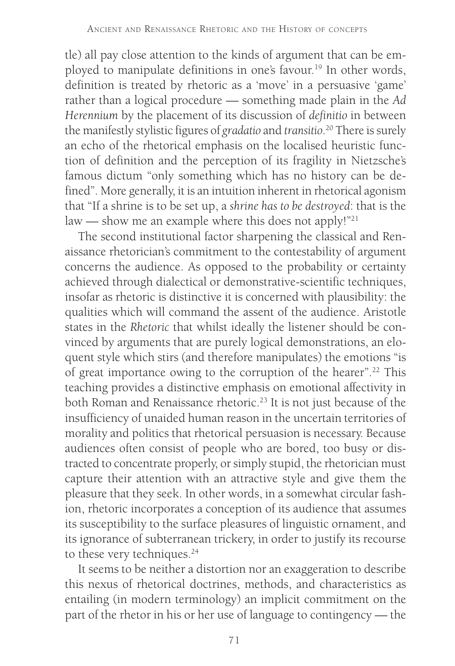tle) all pay close attention to the kinds of argument that can be employed to manipulate definitions in one's favour.<sup>19</sup> In other words, definition is treated by rhetoric as a 'move' in a persuasive 'game' rather than a logical procedure — something made plain in the *Ad Herennium* by the placement of its discussion of *definitio* in between the manifestly stylistic figures of *gradatio* and *transitio*. <sup>20</sup> There is surely an echo of the rhetorical emphasis on the localised heuristic function of definition and the perception of its fragility in Nietzsche's famous dictum "only something which has no history can be defined". More generally, it is an intuition inherent in rhetorical agonism that "If a shrine is to be set up, a *shrine has to be destroyed*: that is the law — show me an example where this does not apply!"<sup>21</sup>

The second institutional factor sharpening the classical and Renaissance rhetorician's commitment to the contestability of argument concerns the audience. As opposed to the probability or certainty achieved through dialectical or demonstrative-scientific techniques, insofar as rhetoric is distinctive it is concerned with plausibility: the qualities which will command the assent of the audience. Aristotle states in the *Rhetoric* that whilst ideally the listener should be convinced by arguments that are purely logical demonstrations, an eloquent style which stirs (and therefore manipulates) the emotions "is of great importance owing to the corruption of the hearer".22 This teaching provides a distinctive emphasis on emotional affectivity in both Roman and Renaissance rhetoric.<sup>23</sup> It is not just because of the insufficiency of unaided human reason in the uncertain territories of morality and politics that rhetorical persuasion is necessary. Because audiences often consist of people who are bored, too busy or distracted to concentrate properly, or simply stupid, the rhetorician must capture their attention with an attractive style and give them the pleasure that they seek. In other words, in a somewhat circular fashion, rhetoric incorporates a conception of its audience that assumes its susceptibility to the surface pleasures of linguistic ornament, and its ignorance of subterranean trickery, in order to justify its recourse to these very techniques.<sup>24</sup>

It seems to be neither a distortion nor an exaggeration to describe this nexus of rhetorical doctrines, methods, and characteristics as entailing (in modern terminology) an implicit commitment on the part of the rhetor in his or her use of language to contingency — the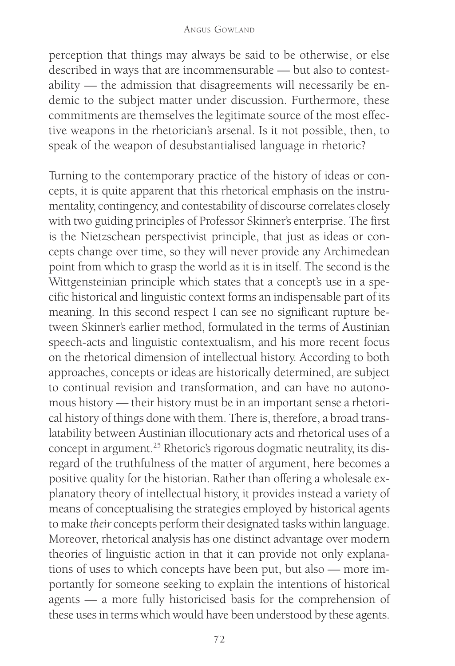#### ANGUS GOWLAND

perception that things may always be said to be otherwise, or else described in ways that are incommensurable — but also to contestability — the admission that disagreements will necessarily be endemic to the subject matter under discussion. Furthermore, these commitments are themselves the legitimate source of the most effective weapons in the rhetorician's arsenal. Is it not possible, then, to speak of the weapon of desubstantialised language in rhetoric?

Turning to the contemporary practice of the history of ideas or concepts, it is quite apparent that this rhetorical emphasis on the instrumentality, contingency, and contestability of discourse correlates closely with two guiding principles of Professor Skinner's enterprise. The first is the Nietzschean perspectivist principle, that just as ideas or concepts change over time, so they will never provide any Archimedean point from which to grasp the world as it is in itself. The second is the Wittgensteinian principle which states that a concept's use in a specific historical and linguistic context forms an indispensable part of its meaning. In this second respect I can see no significant rupture between Skinner's earlier method, formulated in the terms of Austinian speech-acts and linguistic contextualism, and his more recent focus on the rhetorical dimension of intellectual history. According to both approaches, concepts or ideas are historically determined, are subject to continual revision and transformation, and can have no autonomous history — their history must be in an important sense a rhetorical history of things done with them. There is, therefore, a broad translatability between Austinian illocutionary acts and rhetorical uses of a concept in argument.25 Rhetoric's rigorous dogmatic neutrality, its disregard of the truthfulness of the matter of argument, here becomes a positive quality for the historian. Rather than offering a wholesale explanatory theory of intellectual history, it provides instead a variety of means of conceptualising the strategies employed by historical agents to make *their* concepts perform their designated tasks within language. Moreover, rhetorical analysis has one distinct advantage over modern theories of linguistic action in that it can provide not only explanations of uses to which concepts have been put, but also — more importantly for someone seeking to explain the intentions of historical agents — a more fully historicised basis for the comprehension of these uses in terms which would have been understood by these agents.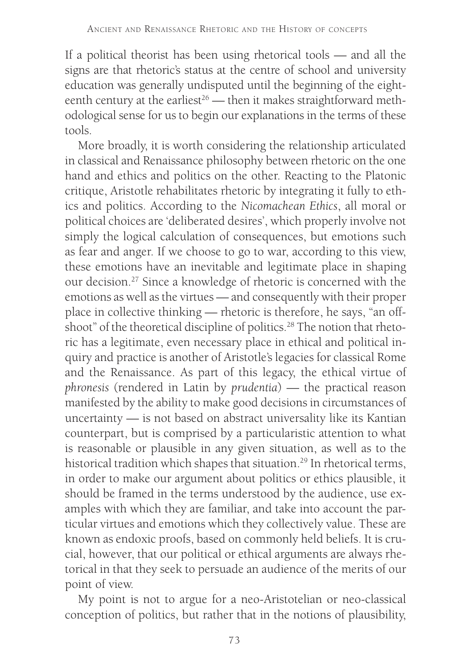If a political theorist has been using rhetorical tools — and all the signs are that rhetoric's status at the centre of school and university education was generally undisputed until the beginning of the eighteenth century at the earliest<sup>26</sup> — then it makes straightforward methodological sense for us to begin our explanations in the terms of these tools.

More broadly, it is worth considering the relationship articulated in classical and Renaissance philosophy between rhetoric on the one hand and ethics and politics on the other. Reacting to the Platonic critique, Aristotle rehabilitates rhetoric by integrating it fully to ethics and politics. According to the *Nicomachean Ethics*, all moral or political choices are 'deliberated desires', which properly involve not simply the logical calculation of consequences, but emotions such as fear and anger. If we choose to go to war, according to this view, these emotions have an inevitable and legitimate place in shaping our decision.27 Since a knowledge of rhetoric is concerned with the emotions as well as the virtues — and consequently with their proper place in collective thinking — rhetoric is therefore, he says, "an offshoot" of the theoretical discipline of politics.<sup>28</sup> The notion that rhetoric has a legitimate, even necessary place in ethical and political inquiry and practice is another of Aristotle's legacies for classical Rome and the Renaissance. As part of this legacy, the ethical virtue of *phronesis* (rendered in Latin by *prudentia*) — the practical reason manifested by the ability to make good decisions in circumstances of uncertainty — is not based on abstract universality like its Kantian counterpart, but is comprised by a particularistic attention to what is reasonable or plausible in any given situation, as well as to the historical tradition which shapes that situation.<sup>29</sup> In rhetorical terms, in order to make our argument about politics or ethics plausible, it should be framed in the terms understood by the audience, use examples with which they are familiar, and take into account the particular virtues and emotions which they collectively value. These are known as endoxic proofs, based on commonly held beliefs. It is crucial, however, that our political or ethical arguments are always rhetorical in that they seek to persuade an audience of the merits of our point of view.

My point is not to argue for a neo-Aristotelian or neo-classical conception of politics, but rather that in the notions of plausibility,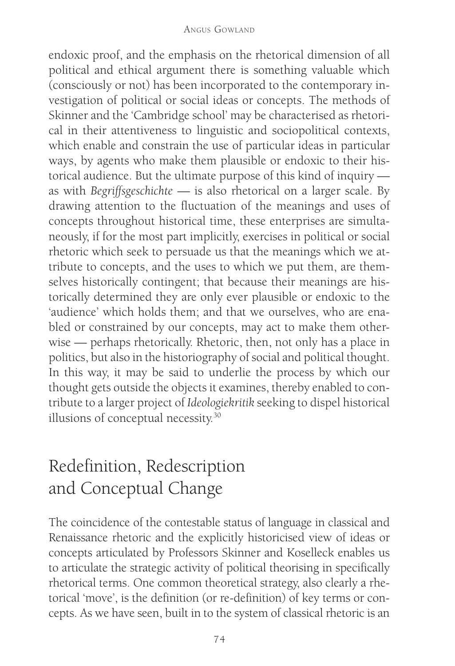endoxic proof, and the emphasis on the rhetorical dimension of all political and ethical argument there is something valuable which (consciously or not) has been incorporated to the contemporary investigation of political or social ideas or concepts. The methods of Skinner and the 'Cambridge school' may be characterised as rhetorical in their attentiveness to linguistic and sociopolitical contexts, which enable and constrain the use of particular ideas in particular ways, by agents who make them plausible or endoxic to their historical audience. But the ultimate purpose of this kind of inquiry as with *Begriffsgeschichte* — is also rhetorical on a larger scale. By drawing attention to the fluctuation of the meanings and uses of concepts throughout historical time, these enterprises are simultaneously, if for the most part implicitly, exercises in political or social rhetoric which seek to persuade us that the meanings which we attribute to concepts, and the uses to which we put them, are themselves historically contingent; that because their meanings are historically determined they are only ever plausible or endoxic to the 'audience' which holds them; and that we ourselves, who are enabled or constrained by our concepts, may act to make them otherwise — perhaps rhetorically. Rhetoric, then, not only has a place in politics, but also in the historiography of social and political thought. In this way, it may be said to underlie the process by which our thought gets outside the objects it examines, thereby enabled to contribute to a larger project of *Ideologiekritik* seeking to dispel historical illusions of conceptual necessity.30

### Redefinition, Redescription and Conceptual Change

The coincidence of the contestable status of language in classical and Renaissance rhetoric and the explicitly historicised view of ideas or concepts articulated by Professors Skinner and Koselleck enables us to articulate the strategic activity of political theorising in specifically rhetorical terms. One common theoretical strategy, also clearly a rhetorical 'move', is the definition (or re-definition) of key terms or concepts. As we have seen, built in to the system of classical rhetoric is an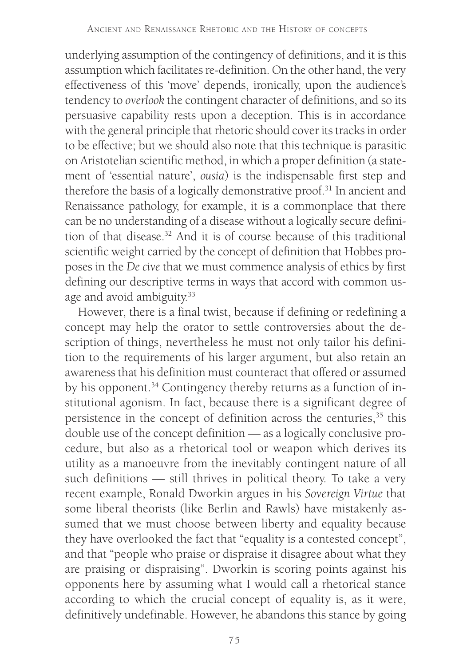underlying assumption of the contingency of definitions, and it is this assumption which facilitates re-definition. On the other hand, the very effectiveness of this 'move' depends, ironically, upon the audience's tendency to *overlook* the contingent character of definitions, and so its persuasive capability rests upon a deception. This is in accordance with the general principle that rhetoric should cover its tracks in order to be effective; but we should also note that this technique is parasitic on Aristotelian scientific method, in which a proper definition (a statement of 'essential nature', *ousia*) is the indispensable first step and therefore the basis of a logically demonstrative proof.31 In ancient and Renaissance pathology, for example, it is a commonplace that there can be no understanding of a disease without a logically secure definition of that disease.<sup>32</sup> And it is of course because of this traditional scientific weight carried by the concept of definition that Hobbes proposes in the *De cive* that we must commence analysis of ethics by first defining our descriptive terms in ways that accord with common usage and avoid ambiguity.<sup>33</sup>

However, there is a final twist, because if defining or redefining a concept may help the orator to settle controversies about the description of things, nevertheless he must not only tailor his definition to the requirements of his larger argument, but also retain an awareness that his definition must counteract that offered or assumed by his opponent.<sup>34</sup> Contingency thereby returns as a function of institutional agonism. In fact, because there is a significant degree of persistence in the concept of definition across the centuries,<sup>35</sup> this double use of the concept definition — as a logically conclusive procedure, but also as a rhetorical tool or weapon which derives its utility as a manoeuvre from the inevitably contingent nature of all such definitions — still thrives in political theory. To take a very recent example, Ronald Dworkin argues in his *Sovereign Virtue* that some liberal theorists (like Berlin and Rawls) have mistakenly assumed that we must choose between liberty and equality because they have overlooked the fact that "equality is a contested concept", and that "people who praise or dispraise it disagree about what they are praising or dispraising". Dworkin is scoring points against his opponents here by assuming what I would call a rhetorical stance according to which the crucial concept of equality is, as it were, definitively undefinable. However, he abandons this stance by going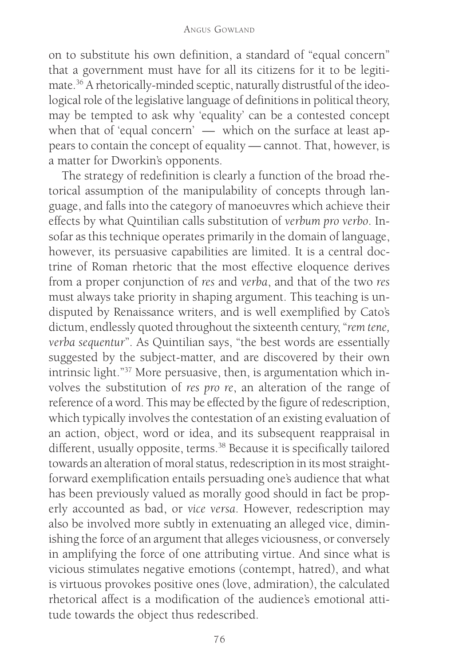#### ANGUS GOWLAND

on to substitute his own definition, a standard of "equal concern" that a government must have for all its citizens for it to be legitimate.36 A rhetorically-minded sceptic, naturally distrustful of the ideological role of the legislative language of definitions in political theory, may be tempted to ask why 'equality' can be a contested concept when that of 'equal concern' — which on the surface at least appears to contain the concept of equality — cannot. That, however, is a matter for Dworkin's opponents.

The strategy of redefinition is clearly a function of the broad rhetorical assumption of the manipulability of concepts through language, and falls into the category of manoeuvres which achieve their effects by what Quintilian calls substitution of *verbum pro verbo*. Insofar as this technique operates primarily in the domain of language, however, its persuasive capabilities are limited. It is a central doctrine of Roman rhetoric that the most effective eloquence derives from a proper conjunction of *res* and *verba*, and that of the two *res* must always take priority in shaping argument. This teaching is undisputed by Renaissance writers, and is well exemplified by Cato's dictum, endlessly quoted throughout the sixteenth century, "*rem tene, verba sequentur*". As Quintilian says, "the best words are essentially suggested by the subject-matter, and are discovered by their own intrinsic light."37 More persuasive, then, is argumentation which involves the substitution of *res pro re*, an alteration of the range of reference of a word. This may be effected by the figure of redescription, which typically involves the contestation of an existing evaluation of an action, object, word or idea, and its subsequent reappraisal in different, usually opposite, terms.<sup>38</sup> Because it is specifically tailored towards an alteration of moral status, redescription in its most straightforward exemplification entails persuading one's audience that what has been previously valued as morally good should in fact be properly accounted as bad, or *vice versa*. However, redescription may also be involved more subtly in extenuating an alleged vice, diminishing the force of an argument that alleges viciousness, or conversely in amplifying the force of one attributing virtue. And since what is vicious stimulates negative emotions (contempt, hatred), and what is virtuous provokes positive ones (love, admiration), the calculated rhetorical affect is a modification of the audience's emotional attitude towards the object thus redescribed.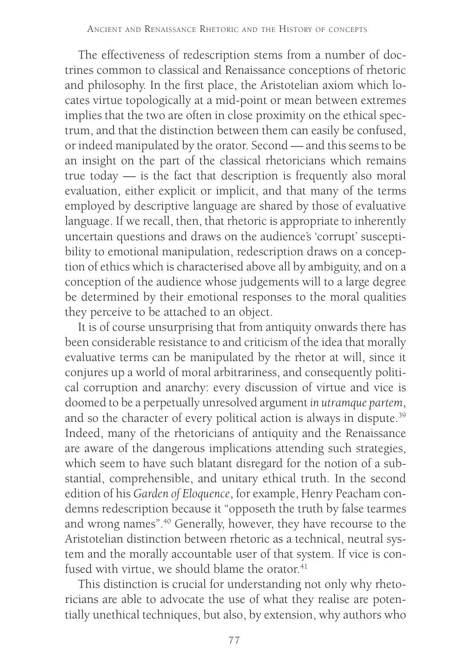The effectiveness of redescription stems from a number of doctrines common to classical and Renaissance conceptions of rhetoric and philosophy. In the first place, the Aristotelian axiom which locates virtue topologically at a mid-point or mean between extremes implies that the two are often in close proximity on the ethical spectrum, and that the distinction between them can easily be confused, or indeed manipulated by the orator. Second — and this seems to be an insight on the part of the classical rhetoricians which remains true today — is the fact that description is frequently also moral evaluation, either explicit or implicit, and that many of the terms employed by descriptive language are shared by those of evaluative language. If we recall, then, that rhetoric is appropriate to inherently uncertain questions and draws on the audience's 'corrupt' susceptibility to emotional manipulation, redescription draws on a conception of ethics which is characterised above all by ambiguity, and on a conception of the audience whose judgements will to a large degree be determined by their emotional responses to the moral qualities they perceive to be attached to an object.

It is of course unsurprising that from antiquity onwards there has been considerable resistance to and criticism of the idea that morally evaluative terms can be manipulated by the rhetor at will, since it conjures up a world of moral arbitrariness, and consequently political corruption and anarchy: every discussion of virtue and vice is doomed to be a perpetually unresolved argument *in utramque partem*, and so the character of every political action is always in dispute.<sup>39</sup> Indeed, many of the rhetoricians of antiquity and the Renaissance are aware of the dangerous implications attending such strategies, which seem to have such blatant disregard for the notion of a substantial, comprehensible, and unitary ethical truth. In the second edition of his *Garden of Eloquence*, for example, Henry Peacham condemns redescription because it "opposeth the truth by false tearmes and wrong names".40 Generally, however, they have recourse to the Aristotelian distinction between rhetoric as a technical, neutral system and the morally accountable user of that system. If vice is confused with virtue, we should blame the orator. $41$ 

This distinction is crucial for understanding not only why rhetoricians are able to advocate the use of what they realise are potentially unethical techniques, but also, by extension, why authors who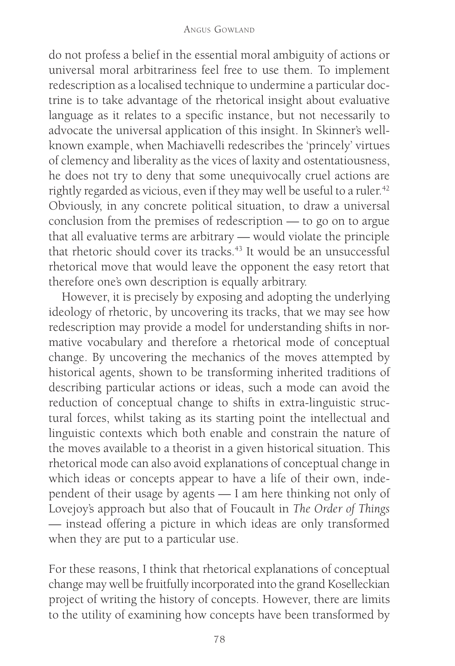do not profess a belief in the essential moral ambiguity of actions or universal moral arbitrariness feel free to use them. To implement redescription as a localised technique to undermine a particular doctrine is to take advantage of the rhetorical insight about evaluative language as it relates to a specific instance, but not necessarily to advocate the universal application of this insight. In Skinner's wellknown example, when Machiavelli redescribes the 'princely' virtues of clemency and liberality as the vices of laxity and ostentatiousness, he does not try to deny that some unequivocally cruel actions are rightly regarded as vicious, even if they may well be useful to a ruler.<sup>42</sup> Obviously, in any concrete political situation, to draw a universal conclusion from the premises of redescription — to go on to argue that all evaluative terms are arbitrary — would violate the principle that rhetoric should cover its tracks.43 It would be an unsuccessful rhetorical move that would leave the opponent the easy retort that therefore one's own description is equally arbitrary.

However, it is precisely by exposing and adopting the underlying ideology of rhetoric, by uncovering its tracks, that we may see how redescription may provide a model for understanding shifts in normative vocabulary and therefore a rhetorical mode of conceptual change. By uncovering the mechanics of the moves attempted by historical agents, shown to be transforming inherited traditions of describing particular actions or ideas, such a mode can avoid the reduction of conceptual change to shifts in extra-linguistic structural forces, whilst taking as its starting point the intellectual and linguistic contexts which both enable and constrain the nature of the moves available to a theorist in a given historical situation. This rhetorical mode can also avoid explanations of conceptual change in which ideas or concepts appear to have a life of their own, independent of their usage by agents — I am here thinking not only of Lovejoy's approach but also that of Foucault in *The Order of Things* — instead offering a picture in which ideas are only transformed when they are put to a particular use.

For these reasons, I think that rhetorical explanations of conceptual change may well be fruitfully incorporated into the grand Koselleckian project of writing the history of concepts. However, there are limits to the utility of examining how concepts have been transformed by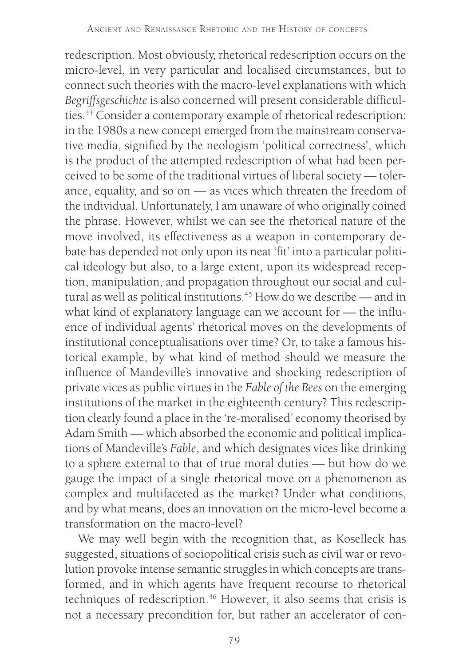redescription. Most obviously, rhetorical redescription occurs on the micro-level, in very particular and localised circumstances, but to connect such theories with the macro-level explanations with which *Begriffsgeschichte* is also concerned will present considerable difficulties.<sup>44</sup> Consider a contemporary example of rhetorical redescription: in the 1980s a new concept emerged from the mainstream conservative media, signified by the neologism 'political correctness', which is the product of the attempted redescription of what had been perceived to be some of the traditional virtues of liberal society — tolerance, equality, and so on — as vices which threaten the freedom of the individual. Unfortunately, I am unaware of who originally coined the phrase. However, whilst we can see the rhetorical nature of the move involved, its effectiveness as a weapon in contemporary debate has depended not only upon its neat 'fit' into a particular political ideology but also, to a large extent, upon its widespread reception, manipulation, and propagation throughout our social and cultural as well as political institutions.<sup>45</sup> How do we describe — and in what kind of explanatory language can we account for — the influence of individual agents' rhetorical moves on the developments of institutional conceptualisations over time? Or, to take a famous historical example, by what kind of method should we measure the influence of Mandeville's innovative and shocking redescription of private vices as public virtues in the *Fable of the Bees* on the emerging institutions of the market in the eighteenth century? This redescription clearly found a place in the 're-moralised' economy theorised by Adam Smith — which absorbed the economic and political implications of Mandeville's *Fable*, and which designates vices like drinking to a sphere external to that of true moral duties — but how do we gauge the impact of a single rhetorical move on a phenomenon as complex and multifaceted as the market? Under what conditions, and by what means, does an innovation on the micro-level become a transformation on the macro-level?

We may well begin with the recognition that, as Koselleck has suggested, situations of sociopolitical crisis such as civil war or revolution provoke intense semantic struggles in which concepts are transformed, and in which agents have frequent recourse to rhetorical techniques of redescription.<sup>46</sup> However, it also seems that crisis is not a necessary precondition for, but rather an accelerator of con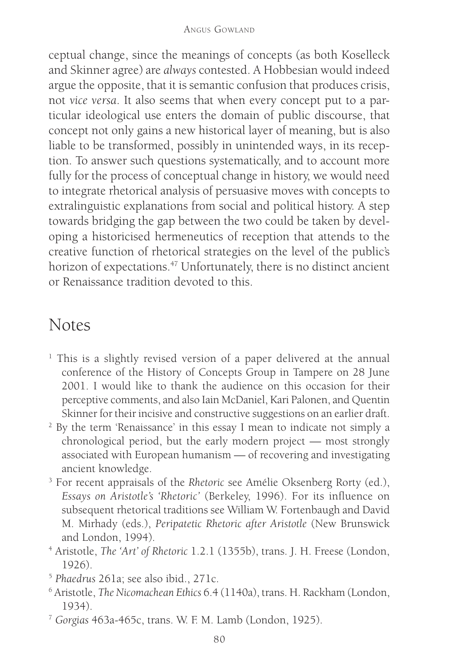ceptual change, since the meanings of concepts (as both Koselleck and Skinner agree) are *always* contested. A Hobbesian would indeed argue the opposite, that it is semantic confusion that produces crisis, not *vice versa*. It also seems that when every concept put to a particular ideological use enters the domain of public discourse, that concept not only gains a new historical layer of meaning, but is also liable to be transformed, possibly in unintended ways, in its reception. To answer such questions systematically, and to account more fully for the process of conceptual change in history, we would need to integrate rhetorical analysis of persuasive moves with concepts to extralinguistic explanations from social and political history. A step towards bridging the gap between the two could be taken by developing a historicised hermeneutics of reception that attends to the creative function of rhetorical strategies on the level of the public's horizon of expectations.<sup>47</sup> Unfortunately, there is no distinct ancient or Renaissance tradition devoted to this.

### Notes

- <sup>1</sup> This is a slightly revised version of a paper delivered at the annual conference of the History of Concepts Group in Tampere on 28 June 2001. I would like to thank the audience on this occasion for their perceptive comments, and also Iain McDaniel, Kari Palonen, and Quentin Skinner for their incisive and constructive suggestions on an earlier draft.
- <sup>2</sup> By the term 'Renaissance' in this essay I mean to indicate not simply a chronological period, but the early modern project — most strongly associated with European humanism — of recovering and investigating ancient knowledge.
- <sup>3</sup> For recent appraisals of the *Rhetoric* see Amélie Oksenberg Rorty (ed.), *Essays on Aristotle's 'Rhetoric'* (Berkeley, 1996). For its influence on subsequent rhetorical traditions see William W. Fortenbaugh and David M. Mirhady (eds.), *Peripatetic Rhetoric after Aristotle* (New Brunswick and London, 1994).
- 4 Aristotle, *The 'Art' of Rhetoric* 1.2.1 (1355b), trans. J. H. Freese (London, 1926).
- <sup>5</sup> *Phaedrus* 261a; see also ibid., 271c.
- <sup>6</sup> Aristotle, *The Nicomachean Ethics* 6.4 (1140a), trans. H. Rackham (London, 1934).
- <sup>7</sup> *Gorgias* 463a-465c, trans. W. F. M. Lamb (London, 1925).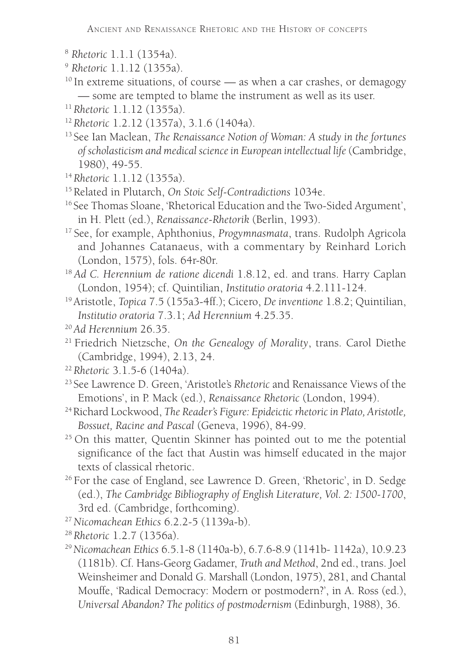- <sup>8</sup> *Rhetoric* 1.1.1 (1354a).
- <sup>9</sup> *Rhetoric* 1.1.12 (1355a).
- $10$  In extreme situations, of course  $-$  as when a car crashes, or demagogy — some are tempted to blame the instrument as well as its user.
- <sup>11</sup>*Rhetoric* 1.1.12 (1355a).
- <sup>12</sup>*Rhetoric* 1.2.12 (1357a), 3.1.6 (1404a).
- 13 See Ian Maclean, *The Renaissance Notion of Woman: A study in the fortunes of scholasticism and medical science in European intellectual life* (Cambridge, 1980), 49-55.
- <sup>14</sup>*Rhetoric* 1.1.12 (1355a).
- 15 Related in Plutarch, *On Stoic Self-Contradictions* 1034e.
- 16 See Thomas Sloane, 'Rhetorical Education and the Two-Sided Argument', in H. Plett (ed.), *Renaissance-Rhetorik* (Berlin, 1993).
- 17 See, for example, Aphthonius, *Progymnasmata*, trans. Rudolph Agricola and Johannes Catanaeus, with a commentary by Reinhard Lorich (London, 1575), fols. 64r-80r.
- <sup>18</sup>*Ad C. Herennium de ratione dicendi* 1.8.12, ed. and trans. Harry Caplan (London, 1954); cf. Quintilian, *Institutio oratoria* 4.2.111-124.
- 19 Aristotle, *Topica* 7.5 (155a3-4ff.); Cicero, *De inventione* 1.8.2; Quintilian, *Institutio oratoria* 7.3.1; *Ad Herennium* 4.25.35.
- <sup>20</sup>*Ad Herennium* 26.35.
- 21 Friedrich Nietzsche, *On the Genealogy of Morality*, trans. Carol Diethe (Cambridge, 1994), 2.13, 24.
- <sup>22</sup>*Rhetoric* 3.1.5-6 (1404a).
- 23 See Lawrence D. Green, 'Aristotle's *Rhetoric* and Renaissance Views of the Emotions', in P. Mack (ed.), *Renaissance Rhetoric* (London, 1994).
- 24 Richard Lockwood, *The Reader's Figure: Epideictic rhetoric in Plato, Aristotle, Bossuet, Racine and Pascal* (Geneva, 1996), 84-99.
- <sup>25</sup> On this matter, Quentin Skinner has pointed out to me the potential significance of the fact that Austin was himself educated in the major texts of classical rhetoric.
- <sup>26</sup> For the case of England, see Lawrence D. Green, 'Rhetoric', in D. Sedge (ed.), *The Cambridge Bibliography of English Literature, Vol. 2: 1500-1700*, 3rd ed. (Cambridge, forthcoming).
- <sup>27</sup>*Nicomachean Ethics* 6.2.2-5 (1139a-b).
- <sup>28</sup>*Rhetoric* 1.2.7 (1356a).
- <sup>29</sup>*Nicomachean Ethics* 6.5.1-8 (1140a-b), 6.7.6-8.9 (1141b- 1142a), 10.9.23 (1181b). Cf. Hans-Georg Gadamer, *Truth and Method*, 2nd ed., trans. Joel Weinsheimer and Donald G. Marshall (London, 1975), 281, and Chantal Mouffe, 'Radical Democracy: Modern or postmodern?', in A. Ross (ed.), *Universal Abandon? The politics of postmodernism* (Edinburgh, 1988), 36.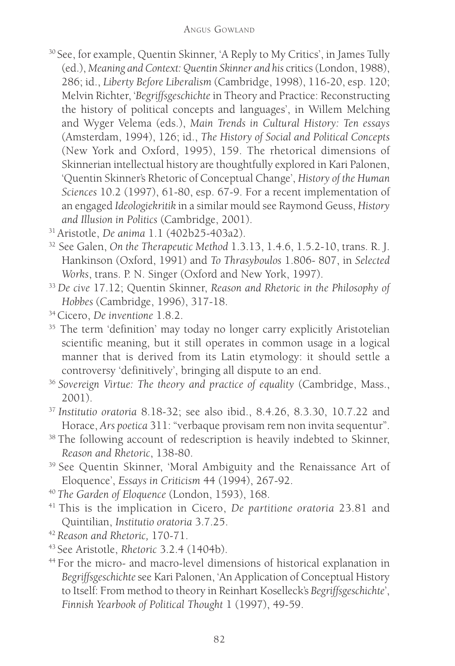- 30 See, for example, Quentin Skinner, 'A Reply to My Critics', in James Tully (ed.), *Meaning and Context: Quentin Skinner and his* critics (London, 1988), 286; id., *Liberty Before Liberalism* (Cambridge, 1998), 116-20, esp. 120; Melvin Richter, '*Begriffsgeschichte* in Theory and Practice: Reconstructing the history of political concepts and languages', in Willem Melching and Wyger Velema (eds.), *Main Trends in Cultural History: Ten essays* (Amsterdam, 1994), 126; id., *The History of Social and Political Concepts* (New York and Oxford, 1995), 159. The rhetorical dimensions of Skinnerian intellectual history are thoughtfully explored in Kari Palonen, 'Quentin Skinner's Rhetoric of Conceptual Change', *History of the Human Sciences* 10.2 (1997), 61-80, esp. 67-9. For a recent implementation of an engaged *Ideologiekritik* in a similar mould see Raymond Geuss, *History and Illusion in Politics* (Cambridge, 2001).
- 31 Aristotle, *De anima* 1.1 (402b25-403a2).
- 32 See Galen, *On the Therapeutic Method* 1.3.13, 1.4.6, 1.5.2-10, trans. R. J. Hankinson (Oxford, 1991) and *To Thrasyboulos* 1.806- 807, in *Selected Works*, trans. P. N. Singer (Oxford and New York, 1997).
- <sup>33</sup>*De cive* 17.12; Quentin Skinner, *Reason and Rhetoric in the Philosophy of Hobbes* (Cambridge, 1996), 317-18.
- 34 Cicero, *De inventione* 1.8.2.
- <sup>35</sup> The term 'definition' may today no longer carry explicitly Aristotelian scientific meaning, but it still operates in common usage in a logical manner that is derived from its Latin etymology: it should settle a controversy 'definitively', bringing all dispute to an end.
- <sup>36</sup>*Sovereign Virtue: The theory and practice of equality* (Cambridge, Mass., 2001).
- <sup>37</sup>*Institutio oratoria* 8.18-32; see also ibid., 8.4.26, 8.3.30, 10.7.22 and Horace, *Ars poetica* 311: "verbaque provisam rem non invita sequentur".
- <sup>38</sup> The following account of redescription is heavily indebted to Skinner, *Reason and Rhetoric*, 138-80.
- <sup>39</sup> See Quentin Skinner, 'Moral Ambiguity and the Renaissance Art of Eloquence', *Essays in Criticism* 44 (1994), 267-92.
- <sup>40</sup>*The Garden of Eloquence* (London, 1593), 168.
- 41 This is the implication in Cicero, *De partitione oratoria* 23.81 and Quintilian, *Institutio oratoria* 3.7.25.
- <sup>42</sup>*Reason and Rhetoric,* 170-71.
- 43 See Aristotle, *Rhetoric* 3.2.4 (1404b).
- 44 For the micro- and macro-level dimensions of historical explanation in *Begriffsgeschichte* see Kari Palonen, 'An Application of Conceptual History to Itself: From method to theory in Reinhart Koselleck's *Begriffsgeschichte*', *Finnish Yearbook of Political Thought* 1 (1997), 49-59.